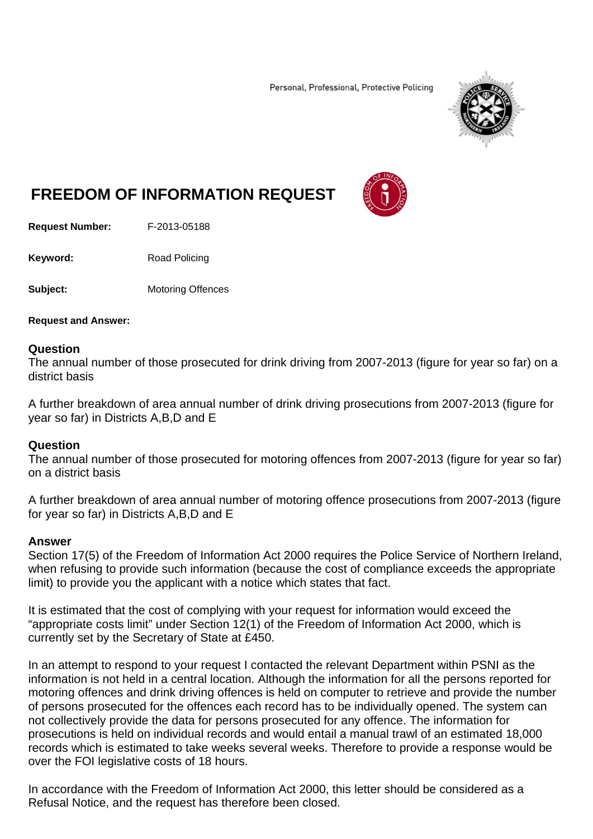Personal, Professional, Protective Policing



## **FREEDOM OF INFORMATION REQUEST**

**Request Number:** F-2013-05188

**Keyword:** Road Policing

**Subject:** Motoring Offences

**Request and Answer:** 

## **Question**

The annual number of those prosecuted for drink driving from 2007-2013 (figure for year so far) on a district basis

A further breakdown of area annual number of drink driving prosecutions from 2007-2013 (figure for year so far) in Districts A,B,D and E

## **Question**

The annual number of those prosecuted for motoring offences from 2007-2013 (figure for year so far) on a district basis

A further breakdown of area annual number of motoring offence prosecutions from 2007-2013 (figure for year so far) in Districts A,B,D and E

## **Answer**

Section 17(5) of the Freedom of Information Act 2000 requires the Police Service of Northern Ireland, when refusing to provide such information (because the cost of compliance exceeds the appropriate limit) to provide you the applicant with a notice which states that fact.

It is estimated that the cost of complying with your request for information would exceed the "appropriate costs limit" under Section 12(1) of the Freedom of Information Act 2000, which is currently set by the Secretary of State at £450.

In an attempt to respond to your request I contacted the relevant Department within PSNI as the information is not held in a central location. Although the information for all the persons reported for motoring offences and drink driving offences is held on computer to retrieve and provide the number of persons prosecuted for the offences each record has to be individually opened. The system can not collectively provide the data for persons prosecuted for any offence. The information for prosecutions is held on individual records and would entail a manual trawl of an estimated 18,000 records which is estimated to take weeks several weeks. Therefore to provide a response would be over the FOI legislative costs of 18 hours.

In accordance with the Freedom of Information Act 2000, this letter should be considered as a Refusal Notice, and the request has therefore been closed.